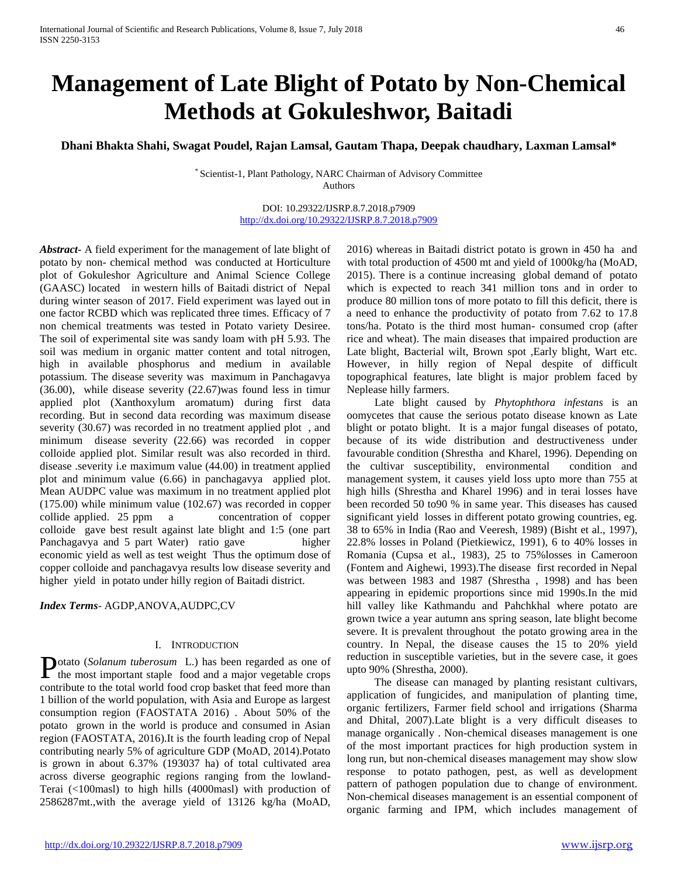# **Management of Late Blight of Potato by Non-Chemical Methods at Gokuleshwor, Baitadi**

**Dhani Bhakta Shahi, Swagat Poudel, Rajan Lamsal, Gautam Thapa, Deepak chaudhary, Laxman Lamsal\***

\* Scientist-1, Plant Pathology, NARC Chairman of Advisory Committee Authors

> DOI: 10.29322/IJSRP.8.7.2018.p7909 <http://dx.doi.org/10.29322/IJSRP.8.7.2018.p7909>

*Abstract***-** A field experiment for the management of late blight of potato by non- chemical method was conducted at Horticulture plot of Gokuleshor Agriculture and Animal Science College (GAASC) located in western hills of Baitadi district of Nepal during winter season of 2017. Field experiment was layed out in one factor RCBD which was replicated three times. Efficacy of 7 non chemical treatments was tested in Potato variety Desiree. The soil of experimental site was sandy loam with pH 5.93. The soil was medium in organic matter content and total nitrogen, high in available phosphorus and medium in available potassium. The disease severity was maximum in Panchagavya (36.00), while disease severity (22.67)was found less in timur applied plot (Xanthoxylum aromatum) during first data recording. But in second data recording was maximum disease severity (30.67) was recorded in no treatment applied plot , and minimum disease severity (22.66) was recorded in copper colloide applied plot. Similar result was also recorded in third. disease .severity i.e maximum value (44.00) in treatment applied plot and minimum value (6.66) in panchagavya applied plot. Mean AUDPC value was maximum in no treatment applied plot (175.00) while minimum value (102.67) was recorded in copper collide applied. 25 ppm a concentration of copper colloide gave best result against late blight and 1:5 (one part Panchagavya and 5 part Water) ratio gave higher economic yield as well as test weight Thus the optimum dose of copper colloide and panchagavya results low disease severity and higher yield in potato under hilly region of Baitadi district.

*Index Terms*- AGDP,ANOVA,AUDPC,CV

### I. INTRODUCTION

otato (*Solanum tuberosum* L.) has been regarded as one of **P**otato (Solanum tuberosum L.) has been regarded as one of the most important staple food and a major vegetable crops contribute to the total world food crop basket that feed more than 1 billion of the world population, with Asia and Europe as largest consumption region (FAOSTATA 2016) . About 50% of the potato grown in the world is produce and consumed in Asian region (FAOSTATA, 2016).It is the fourth leading crop of Nepal contributing nearly 5% of agriculture GDP (MoAD, 2014).Potato is grown in about 6.37% (193037 ha) of total cultivated area across diverse geographic regions ranging from the lowland-Terai (<100masl) to high hills (4000masl) with production of 2586287mt.,with the average yield of 13126 kg/ha (MoAD,

2016) whereas in Baitadi district potato is grown in 450 ha and with total production of 4500 mt and yield of 1000kg/ha (MoAD, 2015). There is a continue increasing global demand of potato which is expected to reach 341 million tons and in order to produce 80 million tons of more potato to fill this deficit, there is a need to enhance the productivity of potato from 7.62 to 17.8 tons/ha. Potato is the third most human- consumed crop (after rice and wheat). The main diseases that impaired production are Late blight, Bacterial wilt, Brown spot ,Early blight, Wart etc. However, in hilly region of Nepal despite of difficult topographical features, late blight is major problem faced by Neplease hilly farmers.

 Late blight caused by *Phytophthora infestans* is an oomycetes that cause the serious potato disease known as Late blight or potato blight.It is a major fungal diseases of potato, because of its wide distribution and destructiveness under favourable condition (Shrestha and Kharel, 1996). Depending on the cultivar susceptibility, environmental condition and management system, it causes yield loss upto more than 755 at high hills (Shrestha and Kharel 1996) and in terai losses have been recorded 50 to90 % in same year. This diseases has caused significant yield losses in different potato growing countries, eg. 38 to 65% in India (Rao and Veeresh, 1989) (Bisht et al., 1997), 22.8% losses in Poland (Pietkiewicz, 1991), 6 to 40% losses in Romania (Cupsa et al., 1983), 25 to 75%losses in Cameroon (Fontem and Aighewi, 1993).The disease first recorded in Nepal was between 1983 and 1987 (Shrestha , 1998) and has been appearing in epidemic proportions since mid 1990s.In the mid hill valley like Kathmandu and Pahchkhal where potato are grown twice a year autumn ans spring season, late blight become severe. It is prevalent throughout the potato growing area in the country. In Nepal, the disease causes the 15 to 20% yield reduction in susceptible varieties, but in the severe case, it goes upto 90% (Shrestha, 2000).

 The disease can managed by planting resistant cultivars, application of fungicides, and manipulation of planting time, organic fertilizers, Farmer field school and irrigations (Sharma and Dhital, 2007).Late blight is a very difficult diseases to manage organically . Non-chemical diseases management is one of the most important practices for high production system in long run, but non-chemical diseases management may show slow response to potato pathogen, pest, as well as development pattern of pathogen population due to change of environment. Non-chemical diseases management is an essential component of organic farming and IPM, which includes management of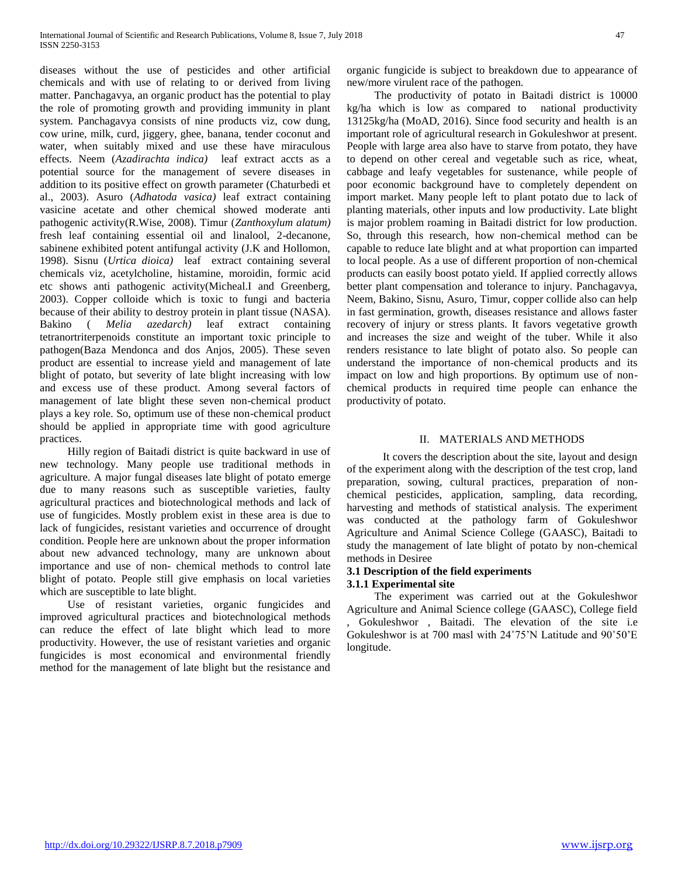diseases without the use of pesticides and other artificial chemicals and with use of relating to or derived from living matter. Panchagavya, an organic product has the potential to play the role of promoting growth and providing immunity in plant system. Panchagavya consists of nine products viz, cow dung, cow urine, milk, curd, jiggery, ghee, banana, tender coconut and water, when suitably mixed and use these have miraculous effects. Neem (*Azadirachta indica)* leaf extract accts as a potential source for the management of severe diseases in addition to its positive effect on growth parameter (Chaturbedi et al., 2003). Asuro (*Adhatoda vasica)* leaf extract containing vasicine acetate and other chemical showed moderate anti pathogenic activity(R.Wise, 2008). Timur (*Zanthoxylum alatum)*  fresh leaf containing essential oil and linalool, 2-decanone, sabinene exhibited potent antifungal activity (J.K and Hollomon, 1998). Sisnu (*Urtica dioica)* leaf extract containing several chemicals viz, acetylcholine, histamine, moroidin, formic acid etc shows anti pathogenic activity(Micheal.I and Greenberg, 2003). Copper colloide which is toxic to fungi and bacteria because of their ability to destroy protein in plant tissue (NASA). Bakino ( *Melia azedarch)* leaf extract containing tetranortriterpenoids constitute an important toxic principle to pathogen(Baza Mendonca and dos Anjos, 2005). These seven product are essential to increase yield and management of late blight of potato, but severity of late blight increasing with low and excess use of these product. Among several factors of management of late blight these seven non-chemical product plays a key role. So, optimum use of these non-chemical product should be applied in appropriate time with good agriculture practices.

 Hilly region of Baitadi district is quite backward in use of new technology. Many people use traditional methods in agriculture. A major fungal diseases late blight of potato emerge due to many reasons such as susceptible varieties, faulty agricultural practices and biotechnological methods and lack of use of fungicides. Mostly problem exist in these area is due to lack of fungicides, resistant varieties and occurrence of drought condition. People here are unknown about the proper information about new advanced technology, many are unknown about importance and use of non- chemical methods to control late blight of potato. People still give emphasis on local varieties which are susceptible to late blight.

 Use of resistant varieties, organic fungicides and improved agricultural practices and biotechnological methods can reduce the effect of late blight which lead to more productivity. However, the use of resistant varieties and organic fungicides is most economical and environmental friendly method for the management of late blight but the resistance and

organic fungicide is subject to breakdown due to appearance of new/more virulent race of the pathogen.

 The productivity of potato in Baitadi district is 10000 kg/ha which is low as compared to national productivity 13125kg/ha (MoAD, 2016). Since food security and health is an important role of agricultural research in Gokuleshwor at present. People with large area also have to starve from potato, they have to depend on other cereal and vegetable such as rice, wheat, cabbage and leafy vegetables for sustenance, while people of poor economic background have to completely dependent on import market. Many people left to plant potato due to lack of planting materials, other inputs and low productivity. Late blight is major problem roaming in Baitadi district for low production. So, through this research, how non-chemical method can be capable to reduce late blight and at what proportion can imparted to local people. As a use of different proportion of non-chemical products can easily boost potato yield. If applied correctly allows better plant compensation and tolerance to injury. Panchagavya, Neem, Bakino, Sisnu, Asuro, Timur, copper collide also can help in fast germination, growth, diseases resistance and allows faster recovery of injury or stress plants. It favors vegetative growth and increases the size and weight of the tuber. While it also renders resistance to late blight of potato also. So people can understand the importance of non-chemical products and its impact on low and high proportions. By optimum use of nonchemical products in required time people can enhance the productivity of potato.

### II. MATERIALS AND METHODS

 It covers the description about the site, layout and design of the experiment along with the description of the test crop, land preparation, sowing, cultural practices, preparation of nonchemical pesticides, application, sampling, data recording, harvesting and methods of statistical analysis. The experiment was conducted at the pathology farm of Gokuleshwor Agriculture and Animal Science College (GAASC), Baitadi to study the management of late blight of potato by non-chemical methods in Desiree

### **3.1 Description of the field experiments**

#### **3.1.1 Experimental site**

 The experiment was carried out at the Gokuleshwor Agriculture and Animal Science college (GAASC), College field , Gokuleshwor , Baitadi. The elevation of the site i.e Gokuleshwor is at 700 masl with 24˚75'N Latitude and 90˚50'E longitude.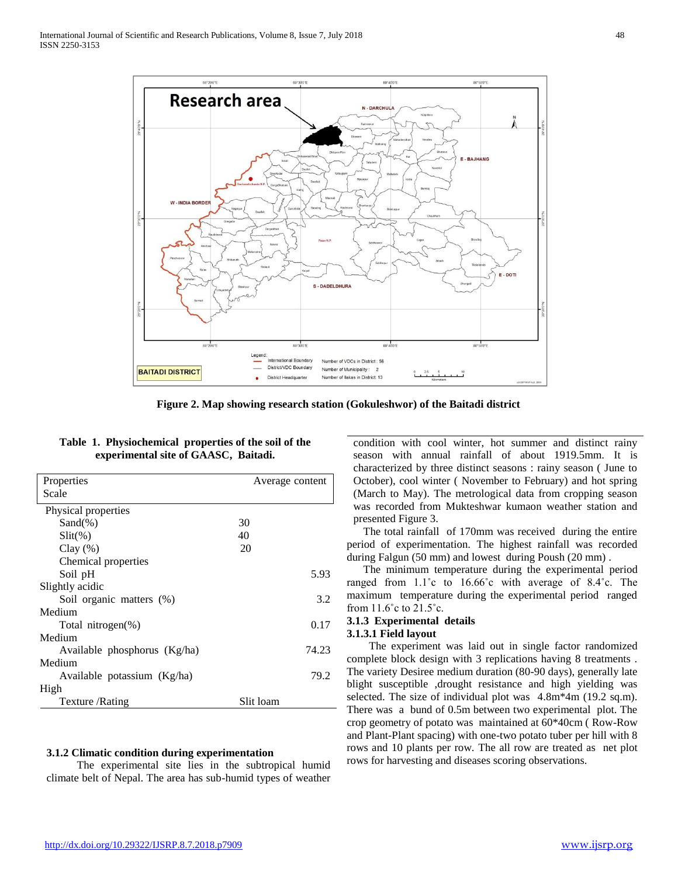

**Figure 2. Map showing research station (Gokuleshwor) of the Baitadi district**

|  | Table 1. Physiochemical properties of the soil of the |  |  |
|--|-------------------------------------------------------|--|--|
|  | experimental site of GAASC, Baitadi.                  |  |  |

| Properties                   | Average content |       |  |  |
|------------------------------|-----------------|-------|--|--|
| Scale                        |                 |       |  |  |
| Physical properties          |                 |       |  |  |
| $Sand(\% )$                  | 30              |       |  |  |
| $Slit(\%)$                   | 40              |       |  |  |
| Clay $(\%)$                  | 20              |       |  |  |
| Chemical properties          |                 |       |  |  |
| Soil pH                      |                 | 5.93  |  |  |
| Slightly acidic              |                 |       |  |  |
| Soil organic matters (%)     |                 | 3.2   |  |  |
| Medium                       |                 |       |  |  |
| Total nitrogen(%)            |                 | 0.17  |  |  |
| Medium                       |                 |       |  |  |
| Available phosphorus (Kg/ha) |                 | 74.23 |  |  |
| Medium                       |                 |       |  |  |
| Available potassium (Kg/ha)  |                 | 79.2  |  |  |
| High                         |                 |       |  |  |
| Texture / Rating             | Slit loam       |       |  |  |

#### **3.1.2 Climatic condition during experimentation**

The experimental site lies in the subtropical humid climate belt of Nepal. The area has sub-humid types of weather condition with cool winter, hot summer and distinct rainy season with annual rainfall of about 1919.5mm. It is characterized by three distinct seasons : rainy season ( June to October), cool winter ( November to February) and hot spring (March to May). The metrological data from cropping season was recorded from Mukteshwar kumaon weather station and presented Figure 3.

 The total rainfall of 170mm was received during the entire period of experimentation. The highest rainfall was recorded during Falgun (50 mm) and lowest during Poush (20 mm) .

 The minimum temperature during the experimental period ranged from 1.1˚c to 16.66˚c with average of 8.4˚c. The maximum temperature during the experimental period ranged from 11.6˚c to 21.5˚c.

#### **3.1.3 Experimental details 3.1.3.1 Field layout**

The experiment was laid out in single factor randomized complete block design with 3 replications having 8 treatments . The variety Desiree medium duration (80-90 days), generally late blight susceptible ,drought resistance and high yielding was selected. The size of individual plot was 4.8m\*4m (19.2 sq.m). There was a bund of 0.5m between two experimental plot. The crop geometry of potato was maintained at 60\*40cm ( Row-Row and Plant-Plant spacing) with one-two potato tuber per hill with 8 rows and 10 plants per row. The all row are treated as net plot rows for harvesting and diseases scoring observations.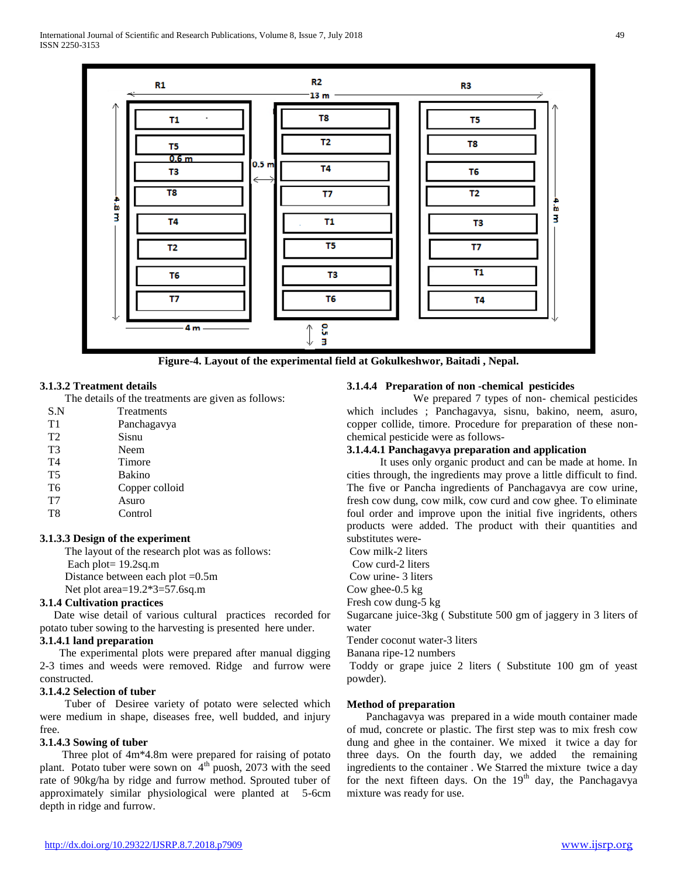

**Figure-4. Layout of the experimental field at Gokulkeshwor, Baitadi , Nepal.**

#### **3.1.3.2 Treatment details**

**The details of the treatments are given as follows:** 

|                | The details of the treatments are |
|----------------|-----------------------------------|
| S.N            | Treatments                        |
| T1             | Panchagavya                       |
| T <sub>2</sub> | Sisnu                             |
| T3             | Neem                              |
| T4             | Timore                            |
| <b>T5</b>      | Bakino                            |
| T6             | Copper colloid                    |
| ᠇᠇             | $\Lambda$ ------                  |

T7 Asuro T8 Control

#### **3.1.3.3 Design of the experiment**

The layout of the research plot was as follows: Each plot= 19.2sq.m

Distance between each plot =0.5m

Net plot area=19.2\*3=57.6sq.m

#### **3.1.4 Cultivation practices**

 Date wise detail of various cultural practices recorded for potato tuber sowing to the harvesting is presented here under.

#### **3.1.4.1 land preparation**

The experimental plots were prepared after manual digging 2-3 times and weeds were removed. Ridge and furrow were constructed.

# **3.1.4.2 Selection of tuber**

Tuber of Desiree variety of potato were selected which were medium in shape, diseases free, well budded, and injury free.

### **3.1.4.3 Sowing of tuber**

Three plot of 4m\*4.8m were prepared for raising of potato plant. Potato tuber were sown on  $4<sup>th</sup>$  puosh, 2073 with the seed rate of 90kg/ha by ridge and furrow method. Sprouted tuber of approximately similar physiological were planted at 5-6cm depth in ridge and furrow.

# **3.1.4.4 Preparation of non -chemical pesticides**

 We prepared 7 types of non- chemical pesticides which includes ; Panchagavya, sisnu, bakino, neem, asuro, copper collide, timore. Procedure for preparation of these nonchemical pesticide were as follows-

# **3.1.4.4.1 Panchagavya preparation and application**

 It uses only organic product and can be made at home. In cities through, the ingredients may prove a little difficult to find. The five or Pancha ingredients of Panchagavya are cow urine, fresh cow dung, cow milk, cow curd and cow ghee. To eliminate foul order and improve upon the initial five ingridents, others products were added. The product with their quantities and substitutes were-

Cow milk-2 liters

Cow curd-2 liters

Cow urine- 3 liters

Cow ghee-0.5 kg

Fresh cow dung-5 kg

Sugarcane juice-3kg ( Substitute 500 gm of jaggery in 3 liters of water

Tender coconut water-3 liters

Banana ripe-12 numbers

Toddy or grape juice 2 liters ( Substitute 100 gm of yeast powder).

#### **Method of preparation**

 Panchagavya was prepared in a wide mouth container made of mud, concrete or plastic. The first step was to mix fresh cow dung and ghee in the container. We mixed it twice a day for three days. On the fourth day, we added the remaining ingredients to the container . We Starred the mixture twice a day for the next fifteen days. On the  $19<sup>th</sup>$  day, the Panchagavya mixture was ready for use.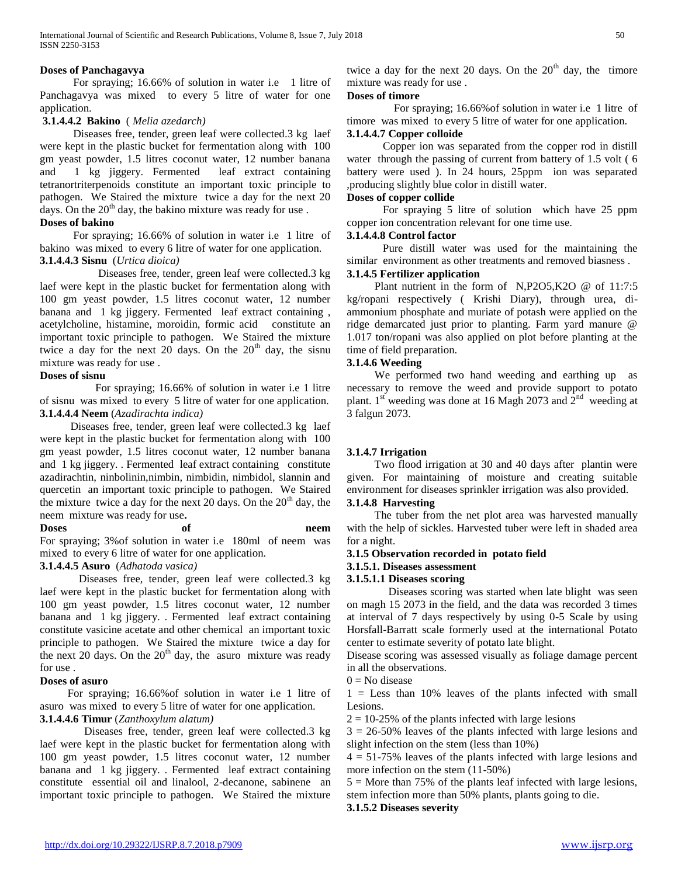### **Doses of Panchagavya**

For spraying; 16.66% of solution in water i.e 1 litre of Panchagavya was mixed to every 5 litre of water for one application.

### **3.1.4.4.2 Bakino** ( *Melia azedarch)*

 Diseases free, tender, green leaf were collected.3 kg laef were kept in the plastic bucket for fermentation along with 100 gm yeast powder, 1.5 litres coconut water, 12 number banana and 1 kg jiggery. Fermented leaf extract containing tetranortriterpenoids constitute an important toxic principle to pathogen. We Staired the mixture twice a day for the next 20 days. On the  $20<sup>th</sup>$  day, the bakino mixture was ready for use.

### **Doses of bakino**

 For spraying; 16.66% of solution in water i.e 1 litre of bakino was mixed to every 6 litre of water for one application. **3.1.4.4.3 Sisnu** (*Urtica dioica)*

 Diseases free, tender, green leaf were collected.3 kg laef were kept in the plastic bucket for fermentation along with 100 gm yeast powder, 1.5 litres coconut water, 12 number banana and 1 kg jiggery. Fermented leaf extract containing , acetylcholine, histamine, moroidin, formic acid constitute an important toxic principle to pathogen. We Staired the mixture twice a day for the next  $20$  days. On the  $20<sup>th</sup>$  day, the sisnu mixture was ready for use .

### **Doses of sisnu**

For spraying; 16.66% of solution in water i.e 1 litre of sisnu was mixed to every 5 litre of water for one application. **3.1.4.4.4 Neem** (*Azadirachta indica)* 

 Diseases free, tender, green leaf were collected.3 kg laef were kept in the plastic bucket for fermentation along with 100 gm yeast powder, 1.5 litres coconut water, 12 number banana and 1 kg jiggery. . Fermented leaf extract containing constitute azadirachtin, ninbolinin,nimbin, nimbidin, nimbidol, slannin and quercetin an important toxic principle to pathogen. We Staired the mixture twice a day for the next 20 days. On the  $20<sup>th</sup>$  day, the neem mixture was ready for use**.**

**Doses of neem**  For spraying; 3%of solution in water i.e 180ml of neem was mixed to every 6 litre of water for one application.

### **3.1.4.4.5 Asuro** (*Adhatoda vasica)*

Diseases free, tender, green leaf were collected.3 kg laef were kept in the plastic bucket for fermentation along with 100 gm yeast powder, 1.5 litres coconut water, 12 number banana and 1 kg jiggery. . Fermented leaf extract containing constitute vasicine acetate and other chemical an important toxic principle to pathogen. We Staired the mixture twice a day for the next 20 days. On the  $20<sup>th</sup>$  day, the asuro mixture was ready for use .

### **Doses of asuro**

For spraying; 16.66%of solution in water i.e 1 litre of asuro was mixed to every 5 litre of water for one application.

# **3.1.4.4.6 Timur** (*Zanthoxylum alatum)*

 Diseases free, tender, green leaf were collected.3 kg laef were kept in the plastic bucket for fermentation along with 100 gm yeast powder, 1.5 litres coconut water, 12 number banana and 1 kg jiggery. . Fermented leaf extract containing constitute essential oil and linalool, 2-decanone, sabinene an important toxic principle to pathogen. We Staired the mixture twice a day for the next 20 days. On the  $20<sup>th</sup>$  day, the timore mixture was ready for use .

#### **Doses of timore**

For spraying; 16.66%of solution in water i.e 1 litre of timore was mixed to every 5 litre of water for one application.

### **3.1.4.4.7 Copper colloide**

Copper ion was separated from the copper rod in distill water through the passing of current from battery of 1.5 volt ( 6 battery were used ). In 24 hours, 25ppm ion was separated ,producing slightly blue color in distill water.

# **Doses of copper collide**

For spraying 5 litre of solution which have 25 ppm copper ion concentration relevant for one time use.

### **3.1.4.4.8 Control factor**

Pure distill water was used for the maintaining the similar environment as other treatments and removed biasness .

# **3.1.4.5 Fertilizer application**

Plant nutrient in the form of N,P2O5,K2O @ of 11:7:5 kg/ropani respectively ( Krishi Diary), through urea, diammonium phosphate and muriate of potash were applied on the ridge demarcated just prior to planting. Farm yard manure @ 1.017 ton/ropani was also applied on plot before planting at the time of field preparation.

# **3.1.4.6 Weeding**

We performed two hand weeding and earthing up as necessary to remove the weed and provide support to potato plant. 1<sup>st</sup> weeding was done at 16 Magh 2073 and  $2<sup>nd</sup>$  weeding at 3 falgun 2073.

# **3.1.4.7 Irrigation**

Two flood irrigation at 30 and 40 days after plantin were given. For maintaining of moisture and creating suitable environment for diseases sprinkler irrigation was also provided. **3.1.4.8 Harvesting** 

 The tuber from the net plot area was harvested manually with the help of sickles. Harvested tuber were left in shaded area for a night.

### **3.1.5 Observation recorded in potato field**

**3.1.5.1. Diseases assessment**

### **3.1.5.1.1 Diseases scoring**

Diseases scoring was started when late blight was seen on magh 15 2073 in the field, and the data was recorded 3 times at interval of 7 days respectively by using 0-5 Scale by using Horsfall-Barratt scale formerly used at the international Potato center to estimate severity of potato late blight.

Disease scoring was assessed visually as foliage damage percent in all the observations.

 $0 = No$  disease

1 = Less than 10% leaves of the plants infected with small Lesions.

 $2 = 10-25\%$  of the plants infected with large lesions

 $3 = 26-50\%$  leaves of the plants infected with large lesions and slight infection on the stem (less than 10%)

 $4 = 51-75\%$  leaves of the plants infected with large lesions and more infection on the stem (11-50%)

 $5 =$  More than 75% of the plants leaf infected with large lesions, stem infection more than 50% plants, plants going to die.

**3.1.5.2 Diseases severity**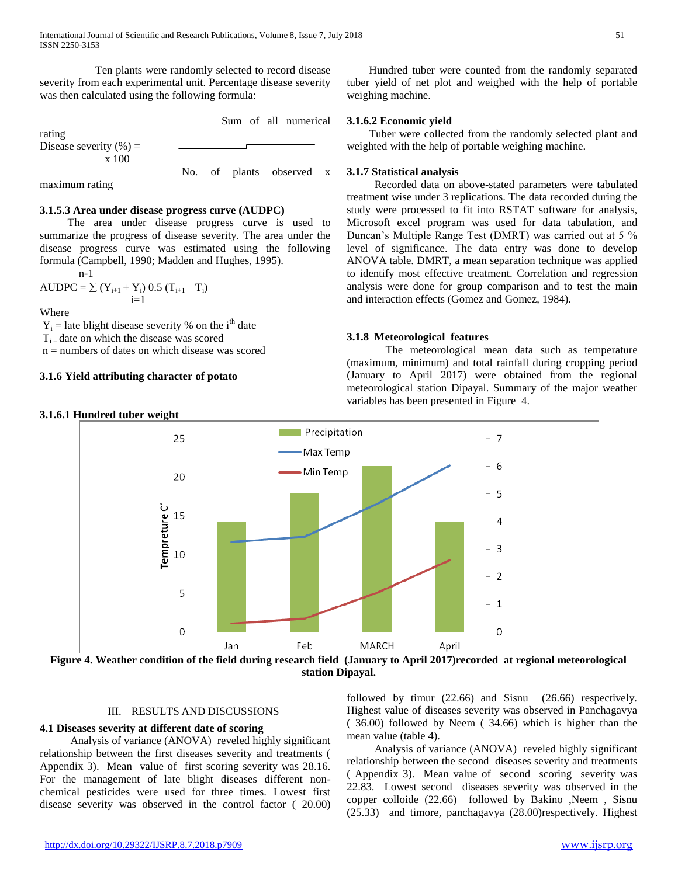Ten plants were randomly selected to record disease severity from each experimental unit. Percentage disease severity was then calculated using the following formula:

Sum of all numerical

Disease severity  $(\%) =$ x 100

No. of plants observed x

maximum rating

rating

# **3.1.5.3 Area under disease progress curve (AUDPC)**

 The area under disease progress curve is used to summarize the progress of disease severity. The area under the disease progress curve was estimated using the following formula (Campbell, 1990; Madden and Hughes, 1995). n-1

AUDPC = 
$$
\sum
$$
 (Y<sub>i+1</sub> + Y<sub>i</sub>) 0.5 (T<sub>i+1</sub> − T<sub>i</sub>)  
i=1

Where

 $Y_i$  = late blight disease severity % on the i<sup>th</sup> date

 $T_{i}$  = date on which the disease was scored

 $n =$  numbers of dates on which disease was scored

# **3.1.6 Yield attributing character of potato**

# **3.1.6.1 Hundred tuber weight**

Hundred tuber were counted from the randomly separated tuber yield of net plot and weighed with the help of portable weighing machine.

# **3.1.6.2 Economic yield**

 Tuber were collected from the randomly selected plant and weighted with the help of portable weighing machine.

# **3.1.7 Statistical analysis**

 Recorded data on above-stated parameters were tabulated treatment wise under 3 replications. The data recorded during the study were processed to fit into RSTAT software for analysis, Microsoft excel program was used for data tabulation, and Duncan's Multiple Range Test (DMRT) was carried out at 5 % level of significance. The data entry was done to develop ANOVA table. DMRT, a mean separation technique was applied to identify most effective treatment. Correlation and regression analysis were done for group comparison and to test the main and interaction effects (Gomez and Gomez, 1984).

# **3.1.8 Meteorological features**

 The meteorological mean data such as temperature (maximum, minimum) and total rainfall during cropping period (January to April 2017) were obtained from the regional meteorological station Dipayal. Summary of the major weather variables has been presented in Figure 4.



**station Dipayal.**

# III. RESULTS AND DISCUSSIONS

# **4.1 Diseases severity at different date of scoring**

 Analysis of variance (ANOVA) reveled highly significant relationship between the first diseases severity and treatments ( Appendix 3). Mean value of first scoring severity was 28.16. For the management of late blight diseases different nonchemical pesticides were used for three times. Lowest first disease severity was observed in the control factor ( 20.00) followed by timur (22.66) and Sisnu (26.66) respectively. Highest value of diseases severity was observed in Panchagavya ( 36.00) followed by Neem ( 34.66) which is higher than the mean value (table 4).

 Analysis of variance (ANOVA) reveled highly significant relationship between the second diseases severity and treatments ( Appendix 3). Mean value of second scoring severity was 22.83. Lowest second diseases severity was observed in the copper colloide  $(22.66)$  followed by Bakino ,Neem , Sisnu (25.33) and timore, panchagavya (28.00)respectively. Highest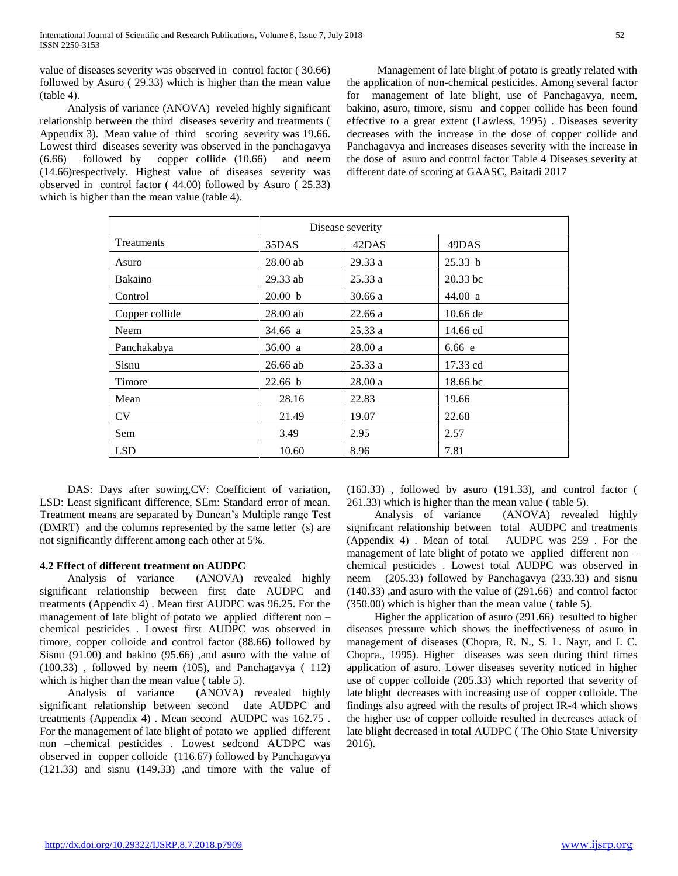value of diseases severity was observed in control factor ( 30.66) followed by Asuro ( 29.33) which is higher than the mean value (table 4).

 Analysis of variance (ANOVA) reveled highly significant relationship between the third diseases severity and treatments ( Appendix 3). Mean value of third scoring severity was 19.66. Lowest third diseases severity was observed in the panchagavya (6.66) followed by copper collide (10.66) and neem (14.66)respectively. Highest value of diseases severity was observed in control factor ( 44.00) followed by Asuro ( 25.33) which is higher than the mean value (table 4).

 Management of late blight of potato is greatly related with the application of non-chemical pesticides. Among several factor for management of late blight, use of Panchagavya, neem, bakino, asuro, timore, sisnu and copper collide has been found effective to a great extent (Lawless, 1995) . Diseases severity decreases with the increase in the dose of copper collide and Panchagavya and increases diseases severity with the increase in the dose of asuro and control factor Table 4 Diseases severity at different date of scoring at GAASC, Baitadi 2017

|                | Disease severity |        |            |  |
|----------------|------------------|--------|------------|--|
| Treatments     | 35DAS            | 42DAS  | 49DAS      |  |
| Asuro          | $28.00$ ab       | 29.33a | 25.33 b    |  |
| Bakaino        | 29.33 ab         | 25.33a | $20.33$ bc |  |
| Control        | 20.00 b          | 30.66a | 44.00 a    |  |
| Copper collide | $28.00$ ab       | 22.66a | $10.66$ de |  |
| Neem           | 34.66 a          | 25.33a | 14.66 cd   |  |
| Panchakabya    | 36.00 a          | 28.00a | 6.66 e     |  |
| Sisnu          | 26.66 ab         | 25.33a | 17.33 cd   |  |
| Timore         | 22.66 b          | 28.00a | 18.66 bc   |  |
| Mean           | 28.16            | 22.83  | 19.66      |  |
| <b>CV</b>      | 21.49            | 19.07  | 22.68      |  |
| Sem            | 3.49             | 2.95   | 2.57       |  |
| <b>LSD</b>     | 10.60            | 8.96   | 7.81       |  |

 DAS: Days after sowing,CV: Coefficient of variation, LSD: Least significant difference, SEm: Standard error of mean. Treatment means are separated by Duncan's Multiple range Test (DMRT) and the columns represented by the same letter (s) are not significantly different among each other at 5%.

# **4.2 Effect of different treatment on AUDPC**

 Analysis of variance (ANOVA) revealed highly significant relationship between first date AUDPC and treatments (Appendix 4) . Mean first AUDPC was 96.25. For the management of late blight of potato we applied different non – chemical pesticides . Lowest first AUDPC was observed in timore, copper colloide and control factor (88.66) followed by Sisnu (91.00) and bakino (95.66) ,and asuro with the value of (100.33) , followed by neem (105), and Panchagavya ( 112) which is higher than the mean value ( table 5).

 Analysis of variance (ANOVA) revealed highly significant relationship between second date AUDPC and treatments (Appendix 4) . Mean second AUDPC was 162.75 . For the management of late blight of potato we applied different non –chemical pesticides . Lowest sedcond AUDPC was observed in copper colloide (116.67) followed by Panchagavya (121.33) and sisnu (149.33) ,and timore with the value of (163.33) , followed by asuro (191.33), and control factor ( 261.33) which is higher than the mean value ( table 5).

 Analysis of variance (ANOVA) revealed highly significant relationship between total AUDPC and treatments (Appendix 4) . Mean of total AUDPC was 259 . For the management of late blight of potato we applied different non – chemical pesticides . Lowest total AUDPC was observed in neem (205.33) followed by Panchagavya (233.33) and sisnu (140.33) ,and asuro with the value of (291.66) and control factor (350.00) which is higher than the mean value ( table 5).

 Higher the application of asuro (291.66) resulted to higher diseases pressure which shows the ineffectiveness of asuro in management of diseases (Chopra, R. N., S. L. Nayr, and I. C. Chopra., 1995). Higher diseases was seen during third times application of asuro. Lower diseases severity noticed in higher use of copper colloide (205.33) which reported that severity of late blight decreases with increasing use of copper colloide. The findings also agreed with the results of project IR-4 which shows the higher use of copper colloide resulted in decreases attack of late blight decreased in total AUDPC ( The Ohio State University 2016).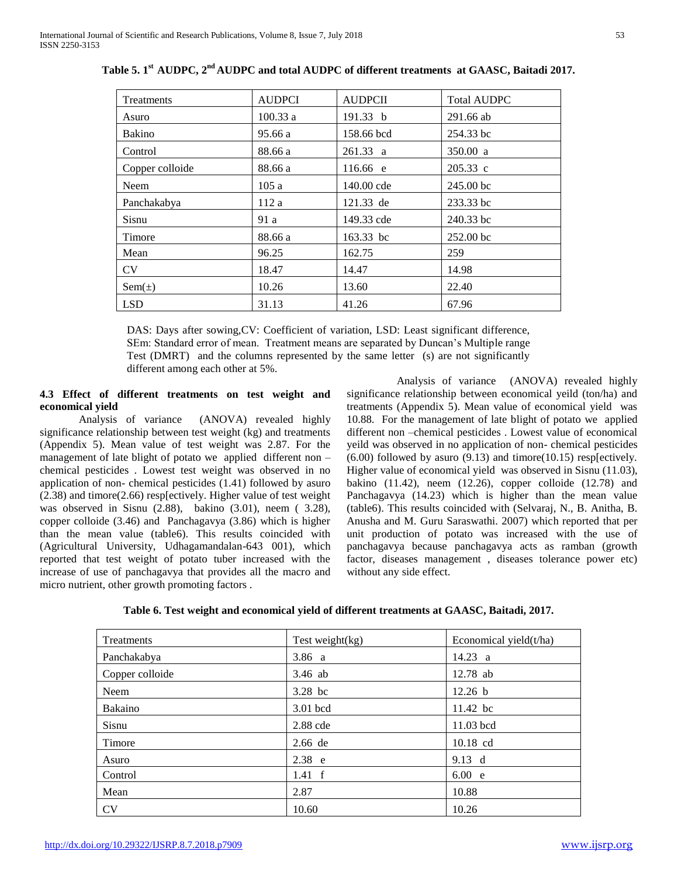| Treatments      | <b>AUDPCI</b> | <b>AUDPCII</b> | <b>Total AUDPC</b> |
|-----------------|---------------|----------------|--------------------|
| Asuro           | 100.33a       | 191.33 b       | 291.66 ab          |
| Bakino          | 95.66 a       | 158.66 bcd     | 254.33 bc          |
| Control         | 88.66 a       | $261.33$ a     | 350.00 a           |
| Copper colloide | 88.66 a       | 116.66 e       | 205.33 c           |
| Neem            | 105a          | 140.00 cde     | 245.00 bc          |
| Panchakabya     | 112a          | 121.33 de      | 233.33 bc          |
| Sisnu           | 91 a          | 149.33 cde     | 240.33 bc          |
| Timore          | 88.66 a       | 163.33 bc      | 252.00 bc          |
| Mean            | 96.25         | 162.75         | 259                |
| <b>CV</b>       | 18.47         | 14.47          | 14.98              |
| $Sem(\pm)$      | 10.26         | 13.60          | 22.40              |
| <b>LSD</b>      | 31.13         | 41.26          | 67.96              |

**Table 5. 1st AUDPC, 2nd AUDPC and total AUDPC of different treatments at GAASC, Baitadi 2017.**

DAS: Days after sowing,CV: Coefficient of variation, LSD: Least significant difference, SEm: Standard error of mean. Treatment means are separated by Duncan's Multiple range Test (DMRT) and the columns represented by the same letter (s) are not significantly different among each other at 5%.

### **4.3 Effect of different treatments on test weight and economical yield**

Analysis of variance (ANOVA) revealed highly significance relationship between test weight (kg) and treatments (Appendix 5). Mean value of test weight was 2.87. For the management of late blight of potato we applied different non – chemical pesticides . Lowest test weight was observed in no application of non- chemical pesticides (1.41) followed by asuro (2.38) and timore(2.66) resp[ectively. Higher value of test weight was observed in Sisnu (2.88), bakino (3.01), neem ( 3.28), copper colloide (3.46) and Panchagavya (3.86) which is higher than the mean value (table6). This results coincided with (Agricultural University, Udhagamandalan-643 001), which reported that test weight of potato tuber increased with the increase of use of panchagavya that provides all the macro and micro nutrient, other growth promoting factors .

 Analysis of variance (ANOVA) revealed highly significance relationship between economical yeild (ton/ha) and treatments (Appendix 5). Mean value of economical yield was 10.88. For the management of late blight of potato we applied different non –chemical pesticides . Lowest value of economical yeild was observed in no application of non- chemical pesticides  $(6.00)$  followed by asuro  $(9.13)$  and timore $(10.15)$  resp[ectively. Higher value of economical yield was observed in Sisnu (11.03), bakino  $(11.42)$ , neem  $(12.26)$ , copper colloide  $(12.78)$  and Panchagavya (14.23) which is higher than the mean value (table6). This results coincided with (Selvaraj, N., B. Anitha, B. Anusha and M. Guru Saraswathi. 2007) which reported that per unit production of potato was increased with the use of panchagavya because panchagavya acts as ramban (growth factor, diseases management , diseases tolerance power etc) without any side effect.

| Table 6. Test weight and economical yield of different treatments at GAASC, Baitadi, 2017. |  |  |
|--------------------------------------------------------------------------------------------|--|--|
|                                                                                            |  |  |

| Treatments      | Test weight $(kg)$ | Economical yield(t/ha) |  |
|-----------------|--------------------|------------------------|--|
| Panchakabya     | 3.86 a             | $14.23 \text{ a}$      |  |
| Copper colloide | $3.46$ ab          | 12.78 ab               |  |
| Neem            | $3.28$ bc          | 12.26 b                |  |
| Bakaino         | 3.01 bcd           | 11.42 bc               |  |
| Sisnu           | 2.88 cde           | $11.03$ bcd            |  |
| Timore          | 2.66 de            | $10.18$ cd             |  |
| Asuro           | 2.38 e             | $9.13 \text{ d}$       |  |
| Control         | $1.41 \text{ f}$   | 6.00 e                 |  |
| Mean            | 2.87               | 10.88                  |  |
| <b>CV</b>       | 10.60              | 10.26                  |  |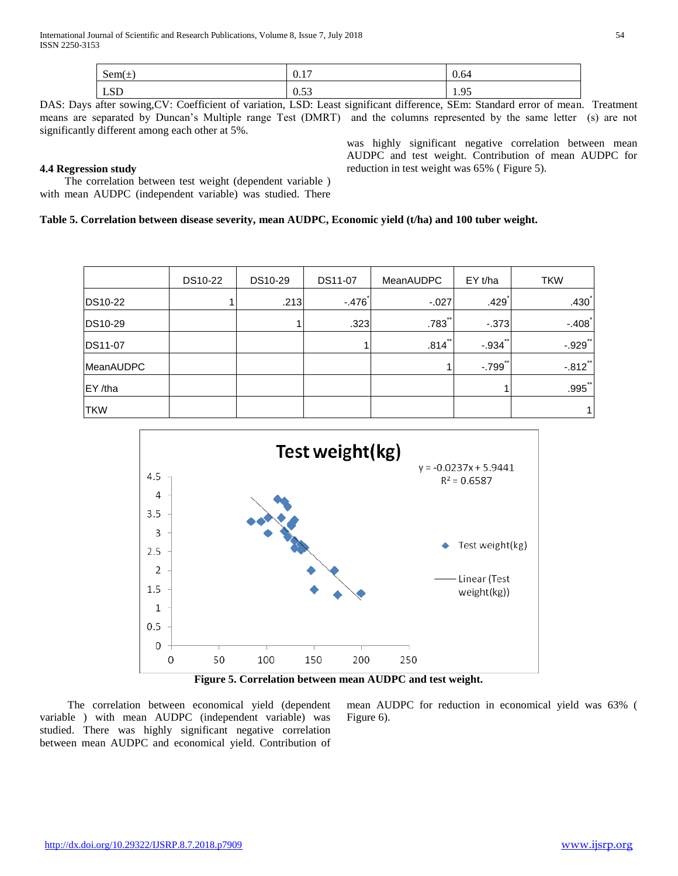| $\sim$<br>$Sem(\pm)$ | $\overline{a}$<br>$\mathbf{U} \cdot \mathbf{I}$ | 0.64 |
|----------------------|-------------------------------------------------|------|
| $C\Gamma$            | $\sim$                                          | Q5   |
| <b>LOD</b>           | <u>v.JJ</u>                                     |      |

DAS: Days after sowing,CV: Coefficient of variation, LSD: Least significant difference, SEm: Standard error of mean. Treatment means are separated by Duncan's Multiple range Test (DMRT) and the columns represented by the same letter (s) are not significantly different among each other at 5%.

### **4.4 Regression study**

was highly significant negative correlation between mean AUDPC and test weight. Contribution of mean AUDPC for reduction in test weight was 65% ( Figure 5).

The correlation between test weight (dependent variable) with mean AUDPC (independent variable) was studied. There

### **Table 5. Correlation between disease severity, mean AUDPC, Economic yield (t/ha) and 100 tuber weight.**

|                 | DS10-22 | DS10-29 | DS11-07 | <b>MeanAUDPC</b>     | EYt/ha                | <b>TKW</b>           |
|-----------------|---------|---------|---------|----------------------|-----------------------|----------------------|
| DS10-22         |         | .213    | $-.476$ | $-.027$              | .429                  | $.430*$              |
| DS10-29         |         |         | .323    | $.783$ <sup>**</sup> | $-373$                | $-.408$ <sup>*</sup> |
| <b>IDS11-07</b> |         |         |         | $.814$ **            | $-.934$ "             | $-.929$ **           |
| MeanAUDPC       |         |         |         |                      | $-.799$ <sup>**</sup> | $-.812$ **           |
| $EY /$ tha      |         |         |         |                      |                       | $.995$ **            |
| <b>TKW</b>      |         |         |         |                      |                       |                      |



**Figure 5. Correlation between mean AUDPC and test weight.**

 The correlation between economical yield (dependent variable ) with mean AUDPC (independent variable) was studied. There was highly significant negative correlation between mean AUDPC and economical yield. Contribution of mean AUDPC for reduction in economical yield was 63% ( Figure 6).